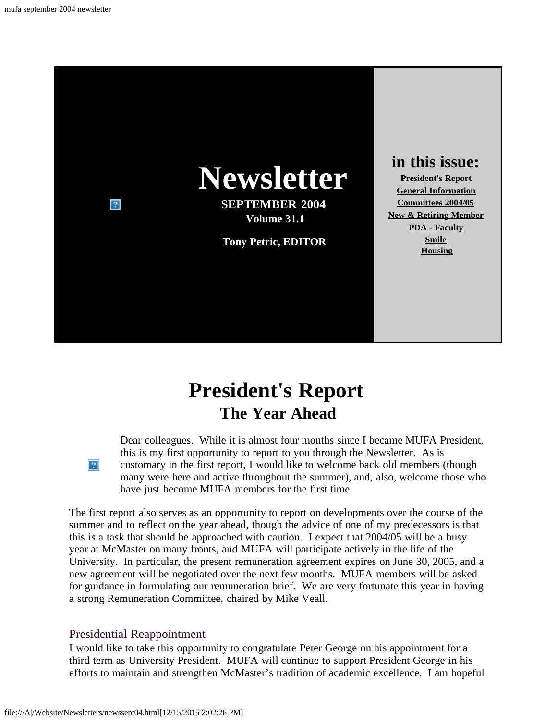

## **President's Report The Year Ahead**

Dear colleagues. While it is almost four months since I became MUFA President, this is my first opportunity to report to you through the Newsletter. As is customary in the first report, I would like to welcome back old members (though many were here and active throughout the summer), and, also, welcome those who have just become MUFA members for the first time.

The first report also serves as an opportunity to report on developments over the course of the summer and to reflect on the year ahead, though the advice of one of my predecessors is that this is a task that should be approached with caution. I expect that 2004/05 will be a busy year at McMaster on many fronts, and MUFA will participate actively in the life of the University. In particular, the present remuneration agreement expires on June 30, 2005, and a new agreement will be negotiated over the next few months. MUFA members will be asked for guidance in formulating our remuneration brief. We are very fortunate this year in having a strong Remuneration Committee, chaired by Mike Veall.

## Presidential Reappointment

<span id="page-0-0"></span> $\left|2\right\rangle$ 

I would like to take this opportunity to congratulate Peter George on his appointment for a third term as University President. MUFA will continue to support President George in his efforts to maintain and strengthen McMaster's tradition of academic excellence. I am hopeful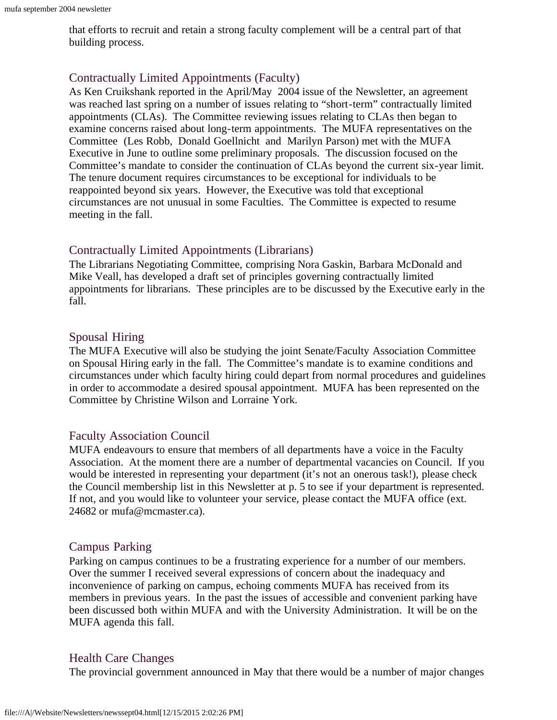that efforts to recruit and retain a strong faculty complement will be a central part of that building process.

## Contractually Limited Appointments (Faculty)

As Ken Cruikshank reported in the April/May 2004 issue of the Newsletter, an agreement was reached last spring on a number of issues relating to "short-term" contractually limited appointments (CLAs). The Committee reviewing issues relating to CLAs then began to examine concerns raised about long-term appointments. The MUFA representatives on the Committee (Les Robb, Donald Goellnicht and Marilyn Parson) met with the MUFA Executive in June to outline some preliminary proposals. The discussion focused on the Committee's mandate to consider the continuation of CLAs beyond the current six-year limit. The tenure document requires circumstances to be exceptional for individuals to be reappointed beyond six years. However, the Executive was told that exceptional circumstances are not unusual in some Faculties. The Committee is expected to resume meeting in the fall.

## Contractually Limited Appointments (Librarians)

The Librarians Negotiating Committee, comprising Nora Gaskin, Barbara McDonald and Mike Veall, has developed a draft set of principles governing contractually limited appointments for librarians. These principles are to be discussed by the Executive early in the fall.

### Spousal Hiring

The MUFA Executive will also be studying the joint Senate/Faculty Association Committee on Spousal Hiring early in the fall. The Committee's mandate is to examine conditions and circumstances under which faculty hiring could depart from normal procedures and guidelines in order to accommodate a desired spousal appointment. MUFA has been represented on the Committee by Christine Wilson and Lorraine York.

## Faculty Association Council

MUFA endeavours to ensure that members of all departments have a voice in the Faculty Association. At the moment there are a number of departmental vacancies on Council. If you would be interested in representing your department (it's not an onerous task!), please check the Council membership list in this Newsletter at p. 5 to see if your department is represented. If not, and you would like to volunteer your service, please contact the MUFA office (ext. 24682 or mufa@mcmaster.ca).

## Campus Parking

Parking on campus continues to be a frustrating experience for a number of our members. Over the summer I received several expressions of concern about the inadequacy and inconvenience of parking on campus, echoing comments MUFA has received from its members in previous years. In the past the issues of accessible and convenient parking have been discussed both within MUFA and with the University Administration. It will be on the MUFA agenda this fall.

## Health Care Changes

The provincial government announced in May that there would be a number of major changes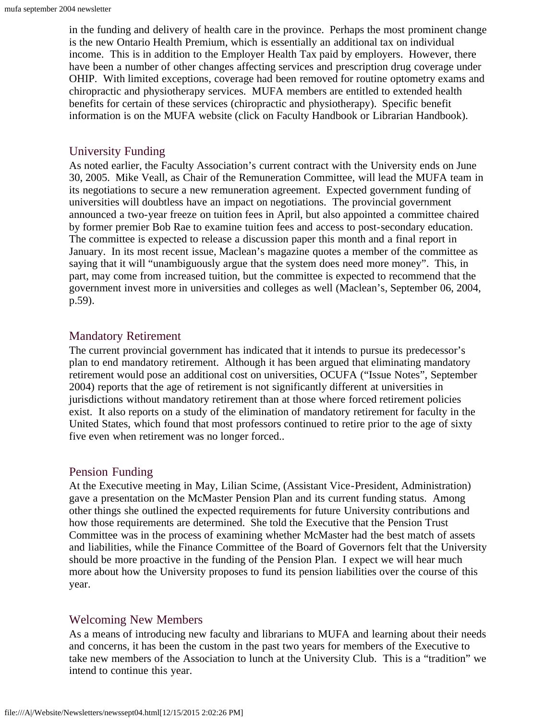in the funding and delivery of health care in the province. Perhaps the most prominent change is the new Ontario Health Premium, which is essentially an additional tax on individual income. This is in addition to the Employer Health Tax paid by employers. However, there have been a number of other changes affecting services and prescription drug coverage under OHIP. With limited exceptions, coverage had been removed for routine optometry exams and chiropractic and physiotherapy services. MUFA members are entitled to extended health benefits for certain of these services (chiropractic and physiotherapy). Specific benefit information is on the MUFA website (click on Faculty Handbook or Librarian Handbook).

### University Funding

As noted earlier, the Faculty Association's current contract with the University ends on June 30, 2005. Mike Veall, as Chair of the Remuneration Committee, will lead the MUFA team in its negotiations to secure a new remuneration agreement. Expected government funding of universities will doubtless have an impact on negotiations. The provincial government announced a two-year freeze on tuition fees in April, but also appointed a committee chaired by former premier Bob Rae to examine tuition fees and access to post-secondary education. The committee is expected to release a discussion paper this month and a final report in January. In its most recent issue, Maclean's magazine quotes a member of the committee as saying that it will "unambiguously argue that the system does need more money". This, in part, may come from increased tuition, but the committee is expected to recommend that the government invest more in universities and colleges as well (Maclean's, September 06, 2004, p.59).

## Mandatory Retirement

The current provincial government has indicated that it intends to pursue its predecessor's plan to end mandatory retirement. Although it has been argued that eliminating mandatory retirement would pose an additional cost on universities, OCUFA ("Issue Notes", September 2004) reports that the age of retirement is not significantly different at universities in jurisdictions without mandatory retirement than at those where forced retirement policies exist. It also reports on a study of the elimination of mandatory retirement for faculty in the United States, which found that most professors continued to retire prior to the age of sixty five even when retirement was no longer forced..

### Pension Funding

At the Executive meeting in May, Lilian Scime, (Assistant Vice-President, Administration) gave a presentation on the McMaster Pension Plan and its current funding status. Among other things she outlined the expected requirements for future University contributions and how those requirements are determined. She told the Executive that the Pension Trust Committee was in the process of examining whether McMaster had the best match of assets and liabilities, while the Finance Committee of the Board of Governors felt that the University should be more proactive in the funding of the Pension Plan. I expect we will hear much more about how the University proposes to fund its pension liabilities over the course of this year.

## Welcoming New Members

As a means of introducing new faculty and librarians to MUFA and learning about their needs and concerns, it has been the custom in the past two years for members of the Executive to take new members of the Association to lunch at the University Club. This is a "tradition" we intend to continue this year.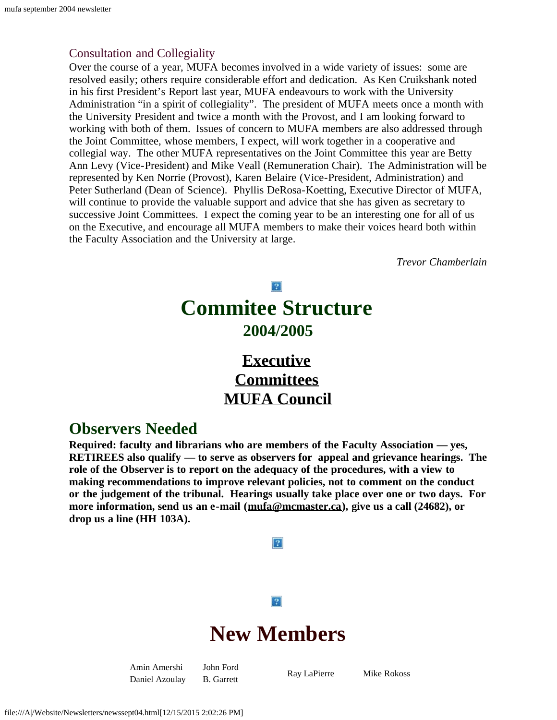### Consultation and Collegiality

Over the course of a year, MUFA becomes involved in a wide variety of issues: some are resolved easily; others require considerable effort and dedication. As Ken Cruikshank noted in his first President's Report last year, MUFA endeavours to work with the University Administration "in a spirit of collegiality". The president of MUFA meets once a month with the University President and twice a month with the Provost, and I am looking forward to working with both of them. Issues of concern to MUFA members are also addressed through the Joint Committee, whose members, I expect, will work together in a cooperative and collegial way. The other MUFA representatives on the Joint Committee this year are Betty Ann Levy (Vice-President) and Mike Veall (Remuneration Chair). The Administration will be represented by Ken Norrie (Provost), Karen Belaire (Vice-President, Administration) and Peter Sutherland (Dean of Science). Phyllis DeRosa-Koetting, Executive Director of MUFA, will continue to provide the valuable support and advice that she has given as secretary to successive Joint Committees. I expect the coming year to be an interesting one for all of us on the Executive, and encourage all MUFA members to make their voices heard both within the Faculty Association and the University at large.

*Trevor Chamberlain*

## $\overline{?}$ **Commitee Structure 2004/2005**

**[Executive](file:///A|/Website/Newsletters/newexec.htm) [Committees](file:///A|/Website/Newsletters/committe.htm) [MUFA Council](file:///A|/Website/Newsletters/council.htm)**

## <span id="page-3-0"></span>**Observers Needed**

**Required: faculty and librarians who are members of the Faculty Association — yes, RETIREES also qualify — to serve as observers for appeal and grievance hearings. The role of the Observer is to report on the adequacy of the procedures, with a view to making recommendations to improve relevant policies, not to comment on the conduct or the judgement of the tribunal. Hearings usually take place over one or two days. For more information, send us an e-mail ([mufa@mcmaster.ca\)](mailto:mufa@mcmaster.ca), give us a call (24682), or drop us a line (HH 103A).**

# $|2|$  $|2|$ **New Members**

<span id="page-3-1"></span> Amin Amershi Daniel Azoulay

 John Ford B. Garrett Ray LaPierre Mike Rokoss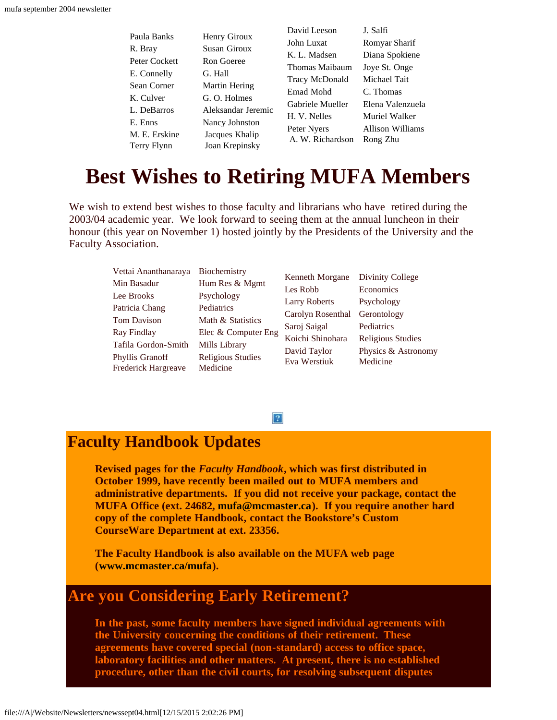|               | Henry Giroux       | David Leeson          | J. Salfi         |
|---------------|--------------------|-----------------------|------------------|
| Paula Banks   |                    | John Luxat            | Romyar Sharif    |
| R. Bray       | Susan Giroux       | K. L. Madsen          | Diana Spokiene   |
| Peter Cockett | Ron Goeree         | Thomas Maibaum        | Joye St. Onge    |
| E. Connelly   | G. Hall            |                       |                  |
| Sean Corner   | Martin Hering      | <b>Tracy McDonald</b> | Michael Tait     |
| K. Culver     | G. O. Holmes       | Emad Mohd             | C. Thomas        |
| L. DeBarros   |                    | Gabriele Mueller      | Elena Valenzuela |
|               | Aleksandar Jeremic | H. V. Nelles          | Muriel Walker    |
| E. Enns       | Nancy Johnston     | Peter Nyers           | Allison Williams |
| M. E. Erskine | Jacques Khalip     | A. W. Richardson      | Rong Zhu         |
| Terry Flynn   | Joan Krepinsky     |                       |                  |

# **Best Wishes to Retiring MUFA Members**

We wish to extend best wishes to those faculty and librarians who have retired during the 2003/04 academic year. We look forward to seeing them at the annual luncheon in their honour (this year on November 1) hosted jointly by the Presidents of the University and the Faculty Association.

| Vettai Ananthanaraya       | Biochemistry                         |                                  |                          |
|----------------------------|--------------------------------------|----------------------------------|--------------------------|
| Min Basadur                | Hum Res & Mgmt                       | Kenneth Morgane                  | Divinity College         |
| Lee Brooks                 | Psychology                           | Les Robb                         | Economics                |
| Patricia Chang             | Pediatrics                           | <b>Larry Roberts</b>             | Psychology               |
| <b>Tom Davison</b>         | Math & Statistics                    | Carolyn Rosenthal                | Gerontology              |
| <b>Ray Findlay</b>         | Elec & Computer Eng<br>Mills Library | Saroj Saigal<br>Koichi Shinohara | Pediatrics               |
| Tafila Gordon-Smith        |                                      |                                  | <b>Religious Studies</b> |
| Phyllis Granoff            | <b>Religious Studies</b>             | David Taylor                     | Physics & Astronomy      |
| <b>Frederick Hargreave</b> | Medicine                             | Eva Werstiuk                     | Medicine                 |
|                            |                                      |                                  |                          |

#### $|2|$

## <span id="page-4-0"></span>**Faculty Handbook Updates**

**Revised pages for the** *Faculty Handbook***, which was first distributed in October 1999, have recently been mailed out to MUFA members and administrative departments. If you did not receive your package, contact the MUFA Office (ext. 24682, [mufa@mcmaster.ca\)](mailto:  mufa@mcmaster.ca). If you require another hard copy of the complete Handbook, contact the Bookstore's Custom CourseWare Department at ext. 23356.**

**The Faculty Handbook is also available on the MUFA web page ([www.mcmaster.ca/mufa\)](http://www.mcmaster.ca/mufa).**

## **Are you Considering Early Retirement?**

**In the past, some faculty members have signed individual agreements with the University concerning the conditions of their retirement. These agreements have covered special (non-standard) access to office space, laboratory facilities and other matters. At present, there is no established procedure, other than the civil courts, for resolving subsequent disputes**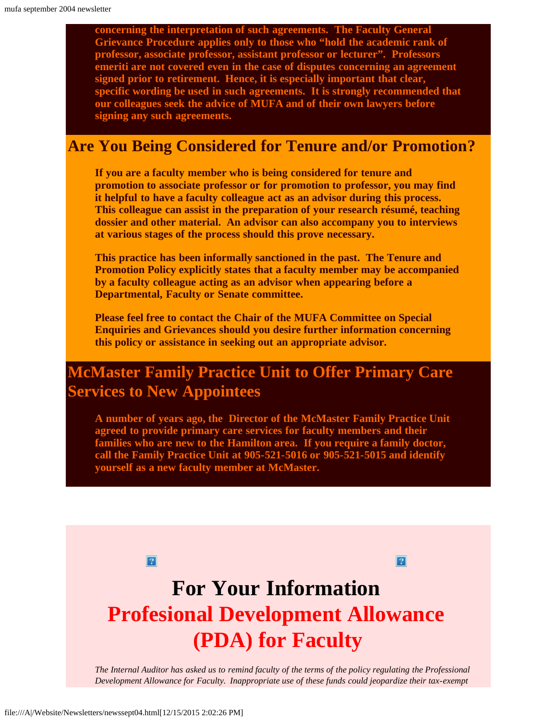**concerning the interpretation of such agreements. The Faculty General Grievance Procedure applies only to those who "hold the academic rank of professor, associate professor, assistant professor or lecturer". Professors emeriti are not covered even in the case of disputes concerning an agreement signed prior to retirement. Hence, it is especially important that clear, specific wording be used in such agreements. It is strongly recommended that our colleagues seek the advice of MUFA and of their own lawyers before signing any such agreements.**

## **Are You Being Considered for Tenure and/or Promotion?**

**If you are a faculty member who is being considered for tenure and promotion to associate professor or for promotion to professor, you may find it helpful to have a faculty colleague act as an advisor during this process. This colleague can assist in the preparation of your research résumé, teaching dossier and other material. An advisor can also accompany you to interviews at various stages of the process should this prove necessary.**

**This practice has been informally sanctioned in the past. The Tenure and Promotion Policy explicitly states that a faculty member may be accompanied by a faculty colleague acting as an advisor when appearing before a Departmental, Faculty or Senate committee.**

**Please feel free to contact the Chair of the MUFA Committee on Special Enquiries and Grievances should you desire further information concerning this policy or assistance in seeking out an appropriate advisor.**

## **McMaster Family Practice Unit to Offer Primary Care Services to New Appointees**

**A number of years ago, the Director of the McMaster Family Practice Unit agreed to provide primary care services for faculty members and their families who are new to the Hamilton area. If you require a family doctor, call the Family Practice Unit at 905-521-5016 or 905-521-5015 and identify yourself as a new faculty member at McMaster.**

<span id="page-5-0"></span>**For Your Information Profesional Development Allowance (PDA) for Faculty**

 $|2|$ 

*The Internal Auditor has asked us to remind faculty of the terms of the policy regulating the Professional Development Allowance for Faculty. Inappropriate use of these funds could jeopardize their tax-exempt*

 $\boxed{2}$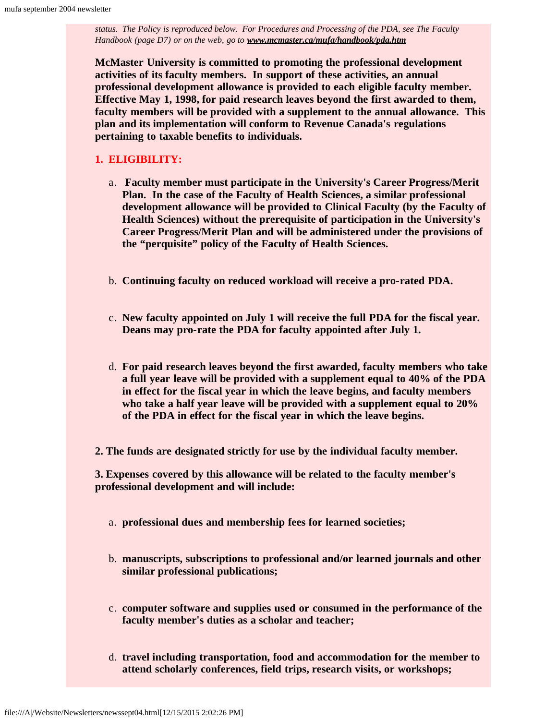*status. The Policy is reproduced below. For Procedures and Processing of the PDA, see The Faculty Handbook (page D7) or on the web, go to [www.mcmaster.ca/mufa/handbook/pda.htm](file:///A|/Website/Newsletters/www.mcmaster.ca/mufa/handbook/pda.htm)*

**McMaster University is committed to promoting the professional development activities of its faculty members. In support of these activities, an annual professional development allowance is provided to each eligible faculty member. Effective May 1, 1998, for paid research leaves beyond the first awarded to them, faculty members will be provided with a supplement to the annual allowance. This plan and its implementation will conform to Revenue Canada's regulations pertaining to taxable benefits to individuals.**

#### **1. ELIGIBILITY:**

- a. **Faculty member must participate in the University's Career Progress/Merit Plan. In the case of the Faculty of Health Sciences, a similar professional development allowance will be provided to Clinical Faculty (by the Faculty of Health Sciences) without the prerequisite of participation in the University's Career Progress/Merit Plan and will be administered under the provisions of the "perquisite" policy of the Faculty of Health Sciences.**
- b. **Continuing faculty on reduced workload will receive a pro-rated PDA.**
- c. **New faculty appointed on July 1 will receive the full PDA for the fiscal year. Deans may pro-rate the PDA for faculty appointed after July 1.**
- d. **For paid research leaves beyond the first awarded, faculty members who take a full year leave will be provided with a supplement equal to 40% of the PDA in effect for the fiscal year in which the leave begins, and faculty members who take a half year leave will be provided with a supplement equal to 20% of the PDA in effect for the fiscal year in which the leave begins.**

**2. The funds are designated strictly for use by the individual faculty member.**

**3. Expenses covered by this allowance will be related to the faculty member's professional development and will include:**

- a. **professional dues and membership fees for learned societies;**
- b. **manuscripts, subscriptions to professional and/or learned journals and other similar professional publications;**
- c. **computer software and supplies used or consumed in the performance of the faculty member's duties as a scholar and teacher;**
- d. **travel including transportation, food and accommodation for the member to attend scholarly conferences, field trips, research visits, or workshops;**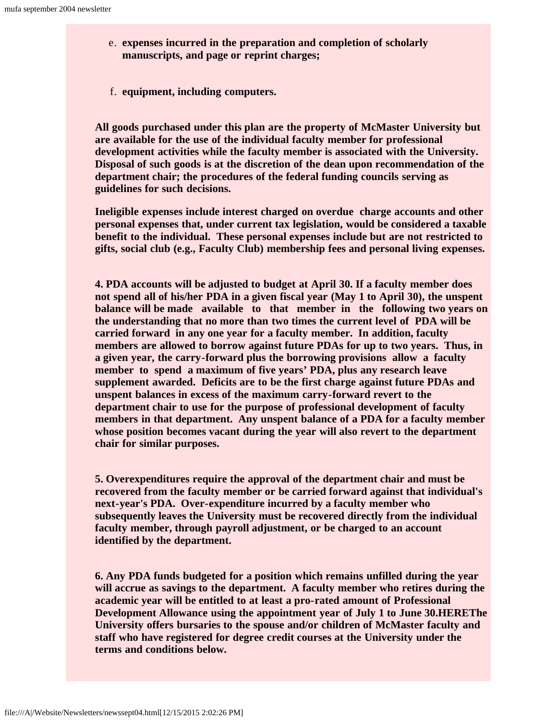- e. **expenses incurred in the preparation and completion of scholarly manuscripts, and page or reprint charges;**
- f. **equipment, including computers.**

**All goods purchased under this plan are the property of McMaster University but are available for the use of the individual faculty member for professional development activities while the faculty member is associated with the University. Disposal of such goods is at the discretion of the dean upon recommendation of the department chair; the procedures of the federal funding councils serving as guidelines for such decisions.**

**Ineligible expenses include interest charged on overdue charge accounts and other personal expenses that, under current tax legislation, would be considered a taxable benefit to the individual. These personal expenses include but are not restricted to gifts, social club (e.g., Faculty Club) membership fees and personal living expenses.**

**4. PDA accounts will be adjusted to budget at April 30. If a faculty member does not spend all of his/her PDA in a given fiscal year (May 1 to April 30), the unspent balance will be made available to that member in the following two years on the understanding that no more than two times the current level of PDA will be carried forward in any one year for a faculty member. In addition, faculty members are allowed to borrow against future PDAs for up to two years. Thus, in a given year, the carry-forward plus the borrowing provisions allow a faculty member to spend a maximum of five years' PDA, plus any research leave supplement awarded. Deficits are to be the first charge against future PDAs and unspent balances in excess of the maximum carry-forward revert to the department chair to use for the purpose of professional development of faculty members in that department. Any unspent balance of a PDA for a faculty member whose position becomes vacant during the year will also revert to the department chair for similar purposes.**

**5. Overexpenditures require the approval of the department chair and must be recovered from the faculty member or be carried forward against that individual's next-year's PDA. Over-expenditure incurred by a faculty member who subsequently leaves the University must be recovered directly from the individual faculty member, through payroll adjustment, or be charged to an account identified by the department.**

**6. Any PDA funds budgeted for a position which remains unfilled during the year will accrue as savings to the department. A faculty member who retires during the academic year will be entitled to at least a pro-rated amount of Professional Development Allowance using the appointment year of July 1 to June 30.HEREThe University offers bursaries to the spouse and/or children of McMaster faculty and staff who have registered for degree credit courses at the University under the terms and conditions below.**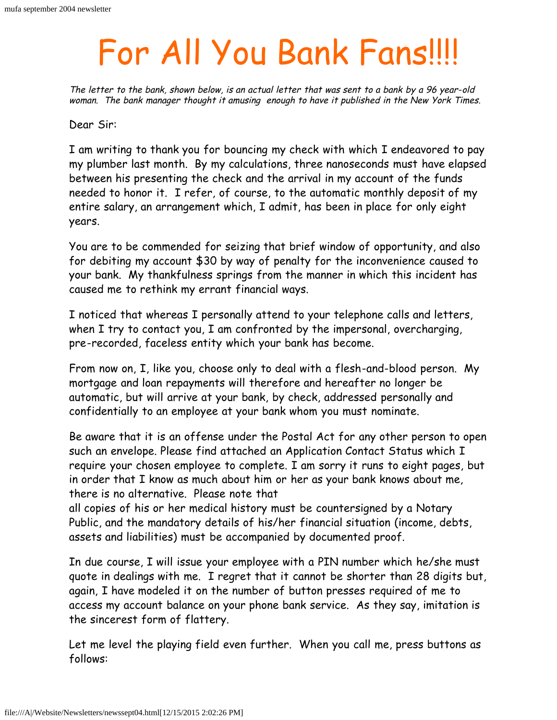# For All You Bank Fans!!!!

<span id="page-8-0"></span>The letter to the bank, shown below, is an actual letter that was sent to a bank by a 96 year-old woman. The bank manager thought it amusing enough to have it published in the New York Times.

Dear Sir:

I am writing to thank you for bouncing my check with which I endeavored to pay my plumber last month. By my calculations, three nanoseconds must have elapsed between his presenting the check and the arrival in my account of the funds needed to honor it. I refer, of course, to the automatic monthly deposit of my entire salary, an arrangement which, I admit, has been in place for only eight years.

You are to be commended for seizing that brief window of opportunity, and also for debiting my account \$30 by way of penalty for the inconvenience caused to your bank. My thankfulness springs from the manner in which this incident has caused me to rethink my errant financial ways.

I noticed that whereas I personally attend to your telephone calls and letters, when I try to contact you, I am confronted by the impersonal, overcharging, pre-recorded, faceless entity which your bank has become.

From now on, I, like you, choose only to deal with a flesh-and-blood person. My mortgage and loan repayments will therefore and hereafter no longer be automatic, but will arrive at your bank, by check, addressed personally and confidentially to an employee at your bank whom you must nominate.

Be aware that it is an offense under the Postal Act for any other person to open such an envelope. Please find attached an Application Contact Status which I require your chosen employee to complete. I am sorry it runs to eight pages, but in order that I know as much about him or her as your bank knows about me, there is no alternative. Please note that

all copies of his or her medical history must be countersigned by a Notary Public, and the mandatory details of his/her financial situation (income, debts, assets and liabilities) must be accompanied by documented proof.

In due course, I will issue your employee with a PIN number which he/she must quote in dealings with me. I regret that it cannot be shorter than 28 digits but, again, I have modeled it on the number of button presses required of me to access my account balance on your phone bank service. As they say, imitation is the sincerest form of flattery.

Let me level the playing field even further. When you call me, press buttons as follows: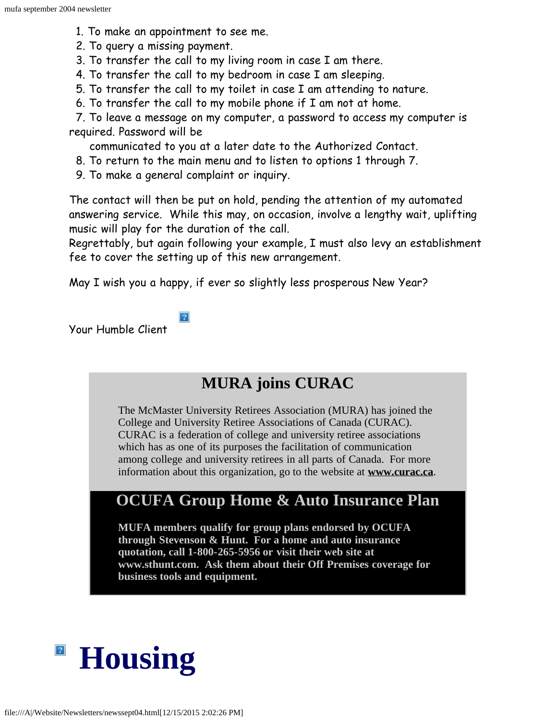- 1. To make an appointment to see me.
- 2. To query a missing payment.
- 3. To transfer the call to my living room in case I am there.
- 4. To transfer the call to my bedroom in case I am sleeping.
- 5. To transfer the call to my toilet in case I am attending to nature.
- 6. To transfer the call to my mobile phone if I am not at home.

 7. To leave a message on my computer, a password to access my computer is required. Password will be

communicated to you at a later date to the Authorized Contact.

- 8. To return to the main menu and to listen to options 1 through 7.
- 9. To make a general complaint or inquiry.

The contact will then be put on hold, pending the attention of my automated answering service. While this may, on occasion, involve a lengthy wait, uplifting music will play for the duration of the call.

Regrettably, but again following your example, I must also levy an establishment fee to cover the setting up of this new arrangement.

May I wish you a happy, if ever so slightly less prosperous New Year?

## $|2|$

Your Humble Client

## **MURA joins CURAC**

The McMaster University Retirees Association (MURA) has joined the College and University Retiree Associations of Canada (CURAC). CURAC is a federation of college and university retiree associations which has as one of its purposes the facilitation of communication among college and university retirees in all parts of Canada. For more information about this organization, go to the website at **[www.curac.ca](file:///A|/Website/Newsletters/www.curac.ca)**.

## **OCUFA Group Home & Auto Insurance Plan**

**MUFA members qualify for group plans endorsed by OCUFA through Stevenson & Hunt. For a home and auto insurance quotation, call 1-800-265-5956 or visit their web site at www.sthunt.com. Ask them about their Off Premises coverage for business tools and equipment.**

<span id="page-9-0"></span>